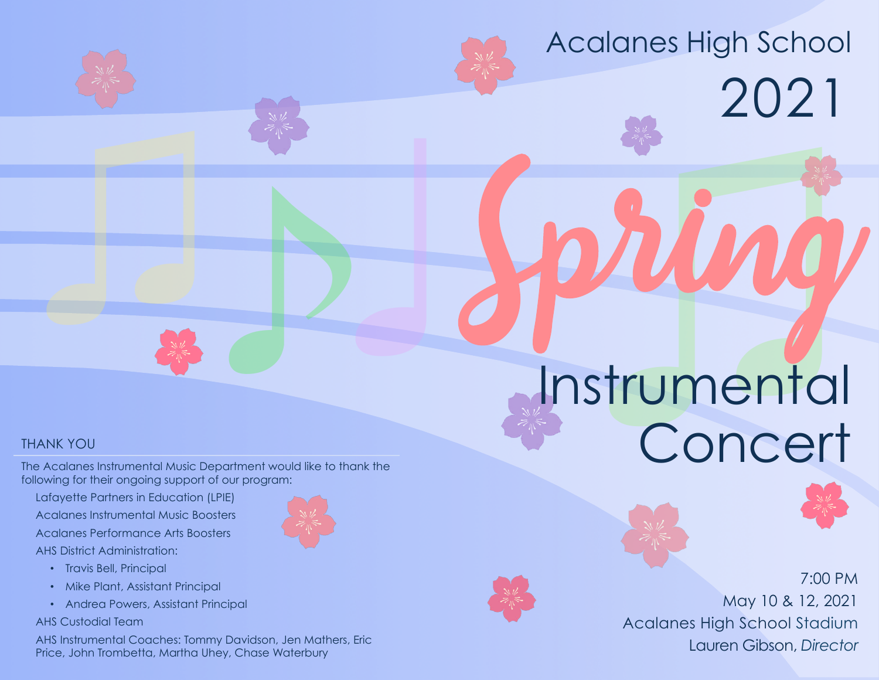# Acalanes High School 2021

# THANK YOU

The Acalanes Instrumental Music Department would like to thank the following for their ongoing support of our program:

- 19

Lafayette Partners in Education (LPIE) Acalanes Instrumental Music Boosters Acalanes Performance Arts Boosters AHS District Administration:



- Travis Bell, Principal
- Mike Plant, Assistant Principal
- Andrea Powers, Assistant Principal

AHS Custodial Team

AHS Instrumental Coaches: Tommy Davidson, Jen Mathers, Eric Price, John Trombetta, Martha Uhey, Chase Waterbury

# **External Strumento** Spring Instrumental **Concert**



7:00 PM May 10 & 12, 2021

Acalanes High School Stadium Lauren Gibson, *Director*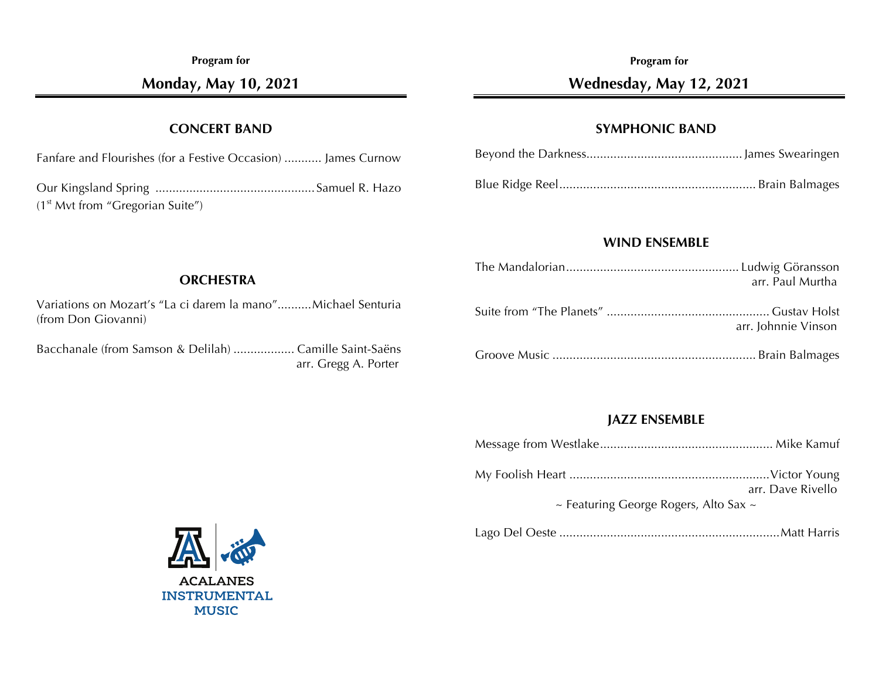**Program for**

**Monday, May 10, 2021**

#### **CONCERT BAND**

Fanfare and Flourishes (for a Festive Occasion) ........... James Curnow

Our Kingsland Spring ............................................... Samuel R. Hazo  $(1<sup>st</sup> Mvt from "Gregorian Suite")$ 

#### **Program for**

## **Wednesday, May 12, 2021**

#### **SYMPHONIC BAND**

#### **WIND ENSEMBLE**

| arr. Paul Murtha    |
|---------------------|
| arr. Johnnie Vinson |
|                     |

#### **JAZZ ENSEMBLE**

|--|--|--|

|                                   | arr. Dave Rivello |
|-----------------------------------|-------------------|
| Easturing Coorgo Rogare, Alto Sav |                   |

 $\sim$  Featuring George Rogers, Alto Sax

Lago Del Oeste .................................................................Matt Harris



#### **ORCHESTRA**

Variations on Mozart's "La ci darem la mano"..........Michael Senturia (from Don Giovanni)

Bacchanale (from Samson & Delilah) .................. Camille Saint-Saëns arr. Gregg A. Porter